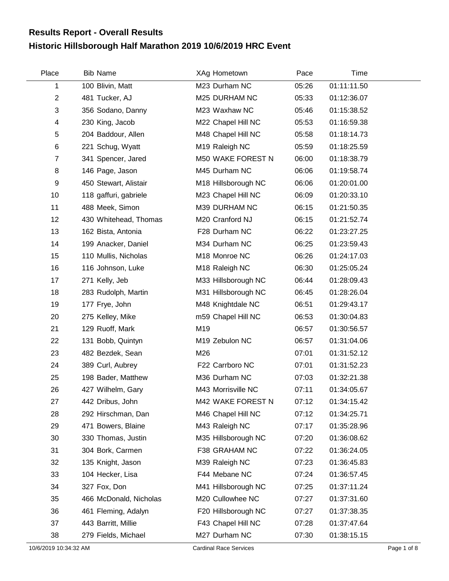## **Historic Hillsborough Half Marathon 2019 10/6/2019 HRC Event Results Report - Overall Results**

| Place                 | <b>Bib Name</b>        | XAg Hometown                  | Pace  | Time        |             |
|-----------------------|------------------------|-------------------------------|-------|-------------|-------------|
| 1                     | 100 Blivin, Matt       | M23 Durham NC                 | 05:26 | 01:11:11.50 |             |
| $\overline{2}$        | 481 Tucker, AJ         | M25 DURHAM NC                 | 05:33 | 01:12:36.07 |             |
| 3                     | 356 Sodano, Danny      | M23 Waxhaw NC                 | 05:46 | 01:15:38.52 |             |
| 4                     | 230 King, Jacob        | M22 Chapel Hill NC            | 05:53 | 01:16:59.38 |             |
| 5                     | 204 Baddour, Allen     | M48 Chapel Hill NC            | 05:58 | 01:18:14.73 |             |
| $\,6$                 | 221 Schug, Wyatt       | M19 Raleigh NC                | 05:59 | 01:18:25.59 |             |
| $\overline{7}$        | 341 Spencer, Jared     | M50 WAKE FOREST N             | 06:00 | 01:18:38.79 |             |
| 8                     | 146 Page, Jason        | M45 Durham NC                 | 06:06 | 01:19:58.74 |             |
| 9                     | 450 Stewart, Alistair  | M18 Hillsborough NC           | 06:06 | 01:20:01.00 |             |
| 10                    | 118 gaffuri, gabriele  | M23 Chapel Hill NC            | 06:09 | 01:20:33.10 |             |
| 11                    | 488 Meek, Simon        | M39 DURHAM NC                 | 06:15 | 01:21:50.35 |             |
| 12                    | 430 Whitehead, Thomas  | M20 Cranford NJ               | 06:15 | 01:21:52.74 |             |
| 13                    | 162 Bista, Antonia     | F28 Durham NC                 | 06:22 | 01:23:27.25 |             |
| 14                    | 199 Anacker, Daniel    | M34 Durham NC                 | 06:25 | 01:23:59.43 |             |
| 15                    | 110 Mullis, Nicholas   | M18 Monroe NC                 | 06:26 | 01:24:17.03 |             |
| 16                    | 116 Johnson, Luke      | M18 Raleigh NC                | 06:30 | 01:25:05.24 |             |
| 17                    | 271 Kelly, Jeb         | M33 Hillsborough NC           | 06:44 | 01:28:09.43 |             |
| 18                    | 283 Rudolph, Martin    | M31 Hillsborough NC           | 06:45 | 01:28:26.04 |             |
| 19                    | 177 Frye, John         | M48 Knightdale NC             | 06:51 | 01:29:43.17 |             |
| 20                    | 275 Kelley, Mike       | m59 Chapel Hill NC            | 06:53 | 01:30:04.83 |             |
| 21                    | 129 Ruoff, Mark        | M19                           | 06:57 | 01:30:56.57 |             |
| 22                    | 131 Bobb, Quintyn      | M19 Zebulon NC                | 06:57 | 01:31:04.06 |             |
| 23                    | 482 Bezdek, Sean       | M26                           | 07:01 | 01:31:52.12 |             |
| 24                    | 389 Curl, Aubrey       | F22 Carrboro NC               | 07:01 | 01:31:52.23 |             |
| 25                    | 198 Bader, Matthew     | M36 Durham NC                 | 07:03 | 01:32:21.38 |             |
| 26                    | 427 Wilhelm, Gary      | M43 Morrisville NC            | 07:11 | 01:34:05.67 |             |
| 27                    | 442 Dribus, John       | M42 WAKE FOREST N             | 07:12 | 01:34:15.42 |             |
| 28                    | 292 Hirschman, Dan     | M46 Chapel Hill NC            | 07:12 | 01:34:25.71 |             |
| 29                    | 471 Bowers, Blaine     | M43 Raleigh NC                | 07:17 | 01:35:28.96 |             |
| 30                    | 330 Thomas, Justin     | M35 Hillsborough NC           | 07:20 | 01:36:08.62 |             |
| 31                    | 304 Bork, Carmen       | F38 GRAHAM NC                 | 07:22 | 01:36:24.05 |             |
| 32                    | 135 Knight, Jason      | M39 Raleigh NC                | 07:23 | 01:36:45.83 |             |
| 33                    | 104 Hecker, Lisa       | F44 Mebane NC                 | 07:24 | 01:36:57.45 |             |
| 34                    | 327 Fox, Don           | M41 Hillsborough NC           | 07:25 | 01:37:11.24 |             |
| 35                    | 466 McDonald, Nicholas | M20 Cullowhee NC              | 07:27 | 01:37:31.60 |             |
| 36                    | 461 Fleming, Adalyn    | F20 Hillsborough NC           | 07:27 | 01:37:38.35 |             |
| 37                    | 443 Barritt, Millie    | F43 Chapel Hill NC            | 07:28 | 01:37:47.64 |             |
| 38                    | 279 Fields, Michael    | M27 Durham NC                 | 07:30 | 01:38:15.15 |             |
| 10/6/2019 10:34:32 AM |                        | <b>Cardinal Race Services</b> |       |             | Page 1 of 8 |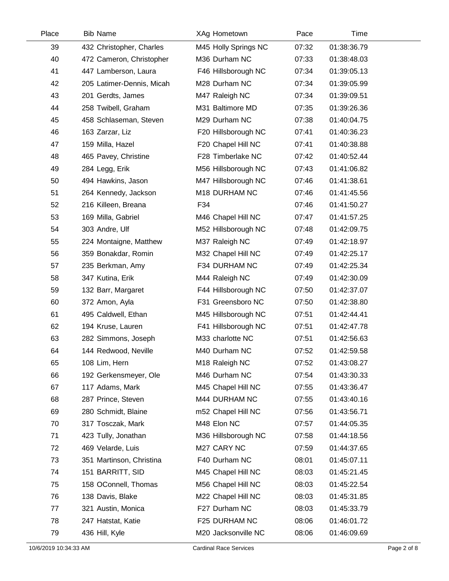| Place | <b>Bib Name</b>           | XAg Hometown         | Pace  | Time        |  |
|-------|---------------------------|----------------------|-------|-------------|--|
| 39    | 432 Christopher, Charles  | M45 Holly Springs NC | 07:32 | 01:38:36.79 |  |
| 40    | 472 Cameron, Christopher  | M36 Durham NC        | 07:33 | 01:38:48.03 |  |
| 41    | 447 Lamberson, Laura      | F46 Hillsborough NC  | 07:34 | 01:39:05.13 |  |
| 42    | 205 Latimer-Dennis, Micah | M28 Durham NC        | 07:34 | 01:39:05.99 |  |
| 43    | 201 Gerdts, James         | M47 Raleigh NC       | 07:34 | 01:39:09.51 |  |
| 44    | 258 Twibell, Graham       | M31 Baltimore MD     | 07:35 | 01:39:26.36 |  |
| 45    | 458 Schlaseman, Steven    | M29 Durham NC        | 07:38 | 01:40:04.75 |  |
| 46    | 163 Zarzar, Liz           | F20 Hillsborough NC  | 07:41 | 01:40:36.23 |  |
| 47    | 159 Milla, Hazel          | F20 Chapel Hill NC   | 07:41 | 01:40:38.88 |  |
| 48    | 465 Pavey, Christine      | F28 Timberlake NC    | 07:42 | 01:40:52.44 |  |
| 49    | 284 Legg, Erik            | M56 Hillsborough NC  | 07:43 | 01:41:06.82 |  |
| 50    | 494 Hawkins, Jason        | M47 Hillsborough NC  | 07:46 | 01:41:38.61 |  |
| 51    | 264 Kennedy, Jackson      | M18 DURHAM NC        | 07:46 | 01:41:45.56 |  |
| 52    | 216 Killeen, Breana       | F34                  | 07:46 | 01:41:50.27 |  |
| 53    | 169 Milla, Gabriel        | M46 Chapel Hill NC   | 07:47 | 01:41:57.25 |  |
| 54    | 303 Andre, Ulf            | M52 Hillsborough NC  | 07:48 | 01:42:09.75 |  |
| 55    | 224 Montaigne, Matthew    | M37 Raleigh NC       | 07:49 | 01:42:18.97 |  |
| 56    | 359 Bonakdar, Romin       | M32 Chapel Hill NC   | 07:49 | 01:42:25.17 |  |
| 57    | 235 Berkman, Amy          | F34 DURHAM NC        | 07:49 | 01:42:25.34 |  |
| 58    | 347 Kutina, Erik          | M44 Raleigh NC       | 07:49 | 01:42:30.09 |  |
| 59    | 132 Barr, Margaret        | F44 Hillsborough NC  | 07:50 | 01:42:37.07 |  |
| 60    | 372 Amon, Ayla            | F31 Greensboro NC    | 07:50 | 01:42:38.80 |  |
| 61    | 495 Caldwell, Ethan       | M45 Hillsborough NC  | 07:51 | 01:42:44.41 |  |
| 62    | 194 Kruse, Lauren         | F41 Hillsborough NC  | 07:51 | 01:42:47.78 |  |
| 63    | 282 Simmons, Joseph       | M33 charlotte NC     | 07:51 | 01:42:56.63 |  |
| 64    | 144 Redwood, Neville      | M40 Durham NC        | 07:52 | 01:42:59.58 |  |
| 65    | 108 Lim, Hern             | M18 Raleigh NC       | 07:52 | 01:43:08.27 |  |
| 66    | 192 Gerkensmeyer, Ole     | M46 Durham NC        | 07:54 | 01:43:30.33 |  |
| 67    | 117 Adams, Mark           | M45 Chapel Hill NC   | 07:55 | 01:43:36.47 |  |
| 68    | 287 Prince, Steven        | M44 DURHAM NC        | 07:55 | 01:43:40.16 |  |
| 69    | 280 Schmidt, Blaine       | m52 Chapel Hill NC   | 07:56 | 01:43:56.71 |  |
| 70    | 317 Tosczak, Mark         | M48 Elon NC          | 07:57 | 01:44:05.35 |  |
| 71    | 423 Tully, Jonathan       | M36 Hillsborough NC  | 07:58 | 01:44:18.56 |  |
| 72    | 469 Velarde, Luis         | M27 CARY NC          | 07:59 | 01:44:37.65 |  |
| 73    | 351 Martinson, Christina  | F40 Durham NC        | 08:01 | 01:45:07.11 |  |
| 74    | 151 BARRITT, SID          | M45 Chapel Hill NC   | 08:03 | 01:45:21.45 |  |
| 75    | 158 OConnell, Thomas      | M56 Chapel Hill NC   | 08:03 | 01:45:22.54 |  |
| 76    | 138 Davis, Blake          | M22 Chapel Hill NC   | 08:03 | 01:45:31.85 |  |
| 77    | 321 Austin, Monica        | F27 Durham NC        | 08:03 | 01:45:33.79 |  |
| 78    | 247 Hatstat, Katie        | F25 DURHAM NC        | 08:06 | 01:46:01.72 |  |
| 79    | 436 Hill, Kyle            | M20 Jacksonville NC  | 08:06 | 01:46:09.69 |  |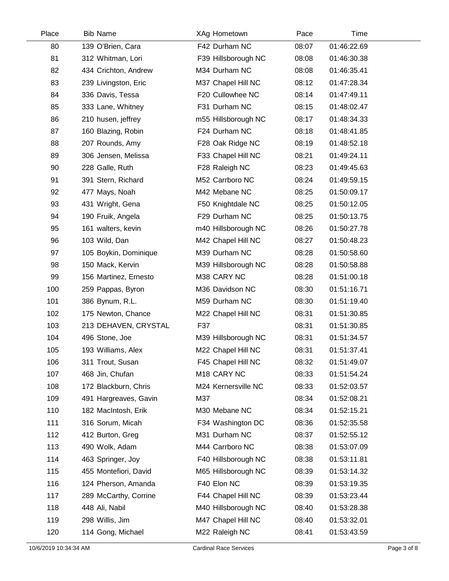| Place | <b>Bib Name</b>       | XAg Hometown        | Pace  | Time        |  |
|-------|-----------------------|---------------------|-------|-------------|--|
| 80    | 139 O'Brien, Cara     | F42 Durham NC       | 08:07 | 01:46:22.69 |  |
| 81    | 312 Whitman, Lori     | F39 Hillsborough NC | 08:08 | 01:46:30.38 |  |
| 82    | 434 Crichton, Andrew  | M34 Durham NC       | 08:08 | 01:46:35.41 |  |
| 83    | 239 Livingston, Eric  | M37 Chapel Hill NC  | 08:12 | 01:47:28.34 |  |
| 84    | 336 Davis, Tessa      | F20 Cullowhee NC    | 08:14 | 01:47:49.11 |  |
| 85    | 333 Lane, Whitney     | F31 Durham NC       | 08:15 | 01:48:02.47 |  |
| 86    | 210 husen, jeffrey    | m55 Hillsborough NC | 08:17 | 01:48:34.33 |  |
| 87    | 160 Blazing, Robin    | F24 Durham NC       | 08:18 | 01:48:41.85 |  |
| 88    | 207 Rounds, Amy       | F28 Oak Ridge NC    | 08:19 | 01:48:52.18 |  |
| 89    | 306 Jensen, Melissa   | F33 Chapel Hill NC  | 08:21 | 01:49:24.11 |  |
| 90    | 228 Galle, Ruth       | F28 Raleigh NC      | 08:23 | 01:49:45.63 |  |
| 91    | 391 Stern, Richard    | M52 Carrboro NC     | 08:24 | 01:49:59.15 |  |
| 92    | 477 Mays, Noah        | M42 Mebane NC       | 08:25 | 01:50:09.17 |  |
| 93    | 431 Wright, Gena      | F50 Knightdale NC   | 08:25 | 01:50:12.05 |  |
| 94    | 190 Fruik, Angela     | F29 Durham NC       | 08:25 | 01:50:13.75 |  |
| 95    | 161 walters, kevin    | m40 Hillsborough NC | 08:26 | 01:50:27.78 |  |
| 96    | 103 Wild, Dan         | M42 Chapel Hill NC  | 08:27 | 01:50:48.23 |  |
| 97    | 105 Boykin, Dominique | M39 Durham NC       | 08:28 | 01:50:58.60 |  |
| 98    | 150 Mack, Kervin      | M39 Hillsborough NC | 08:28 | 01:50:58.88 |  |
| 99    | 156 Martinez, Ernesto | M38 CARY NC         | 08:28 | 01:51:00.18 |  |
| 100   | 259 Pappas, Byron     | M36 Davidson NC     | 08:30 | 01:51:16.71 |  |
| 101   | 386 Bynum, R.L.       | M59 Durham NC       | 08:30 | 01:51:19.40 |  |
| 102   | 175 Newton, Chance    | M22 Chapel Hill NC  | 08:31 | 01:51:30.85 |  |
| 103   | 213 DEHAVEN, CRYSTAL  | F37                 | 08:31 | 01:51:30.85 |  |
| 104   | 496 Stone, Joe        | M39 Hillsborough NC | 08:31 | 01:51:34.57 |  |
| 105   | 193 Williams, Alex    | M22 Chapel Hill NC  | 08:31 | 01:51:37.41 |  |
| 106   | 311 Trout, Susan      | F45 Chapel Hill NC  | 08:32 | 01:51:49.07 |  |
| 107   | 468 Jin, Chufan       | M18 CARY NC         | 08:33 | 01:51:54.24 |  |
| 108   | 172 Blackburn, Chris  | M24 Kernersville NC | 08:33 | 01:52:03.57 |  |
| 109   | 491 Hargreaves, Gavin | M37                 | 08:34 | 01:52:08.21 |  |
| 110   | 182 MacIntosh, Erik   | M30 Mebane NC       | 08:34 | 01:52:15.21 |  |
| 111   | 316 Sorum, Micah      | F34 Washington DC   | 08:36 | 01:52:35.58 |  |
| 112   | 412 Burton, Greg      | M31 Durham NC       | 08:37 | 01:52:55.12 |  |
| 113   | 490 Wolk, Adam        | M44 Carrboro NC     | 08:38 | 01:53:07.09 |  |
| 114   | 463 Springer, Joy     | F40 Hillsborough NC | 08:38 | 01:53:11.81 |  |
| 115   | 455 Montefiori, David | M65 Hillsborough NC | 08:39 | 01:53:14.32 |  |
| 116   | 124 Pherson, Amanda   | F40 Elon NC         | 08:39 | 01:53:19.35 |  |
| 117   | 289 McCarthy, Corrine | F44 Chapel Hill NC  | 08:39 | 01:53:23.44 |  |
| 118   | 448 Ali, Nabil        | M40 Hillsborough NC | 08:40 | 01:53:28.38 |  |
| 119   | 298 Willis, Jim       | M47 Chapel Hill NC  | 08:40 | 01:53:32.01 |  |
| 120   | 114 Gong, Michael     | M22 Raleigh NC      | 08:41 | 01:53:43.59 |  |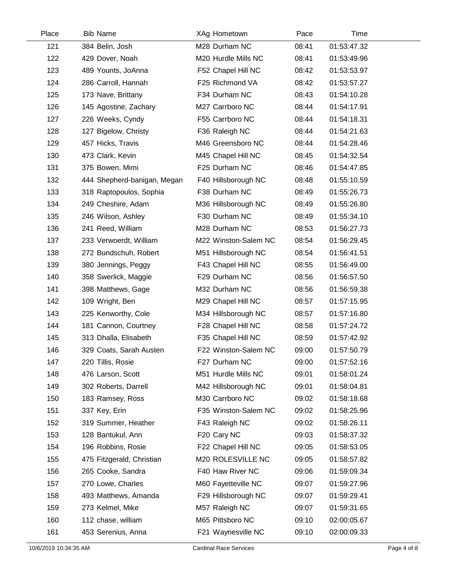| Place | <b>Bib Name</b>             | XAg Hometown         | Pace  | Time        |  |
|-------|-----------------------------|----------------------|-------|-------------|--|
| 121   | 384 Belin, Josh             | M28 Durham NC        | 08:41 | 01:53:47.32 |  |
| 122   | 429 Dover, Noah             | M20 Hurdle Mills NC  | 08:41 | 01:53:49.96 |  |
| 123   | 489 Younts, JoAnna          | F52 Chapel Hill NC   | 08:42 | 01:53:53.97 |  |
| 124   | 286 Carroll, Hannah         | F25 Richmond VA      | 08:42 | 01:53:57.27 |  |
| 125   | 173 Nave, Brittany          | F34 Durham NC        | 08:43 | 01:54:10.28 |  |
| 126   | 145 Agostine, Zachary       | M27 Carrboro NC      | 08:44 | 01:54:17.91 |  |
| 127   | 226 Weeks, Cyndy            | F55 Carrboro NC      | 08:44 | 01:54:18.31 |  |
| 128   | 127 Bigelow, Christy        | F36 Raleigh NC       | 08:44 | 01:54:21.63 |  |
| 129   | 457 Hicks, Travis           | M46 Greensboro NC    | 08:44 | 01:54:28.46 |  |
| 130   | 473 Clark, Kevin            | M45 Chapel Hill NC   | 08:45 | 01:54:32.54 |  |
| 131   | 375 Bowen, Mimi             | F25 Durham NC        | 08:46 | 01:54:47.85 |  |
| 132   | 444 Shepherd-banigan, Megan | F40 Hillsborough NC  | 08:48 | 01:55:10.59 |  |
| 133   | 318 Raptopoulos, Sophia     | F38 Durham NC        | 08:49 | 01:55:26.73 |  |
| 134   | 249 Cheshire, Adam          | M36 Hillsborough NC  | 08:49 | 01:55:26.80 |  |
| 135   | 246 Wilson, Ashley          | F30 Durham NC        | 08:49 | 01:55:34.10 |  |
| 136   | 241 Reed, William           | M28 Durham NC        | 08:53 | 01:56:27.73 |  |
| 137   | 233 Verwoerdt, William      | M22 Winston-Salem NC | 08:54 | 01:56:29.45 |  |
| 138   | 272 Bundschuh, Robert       | M51 Hillsborough NC  | 08:54 | 01:56:41.51 |  |
| 139   | 380 Jennings, Peggy         | F43 Chapel Hill NC   | 08:55 | 01:56:49.00 |  |
| 140   | 358 Swerlick, Maggie        | F29 Durham NC        | 08:56 | 01:56:57.50 |  |
| 141   | 398 Matthews, Gage          | M32 Durham NC        | 08:56 | 01:56:59.38 |  |
| 142   | 109 Wright, Ben             | M29 Chapel Hill NC   | 08:57 | 01:57:15.95 |  |
| 143   | 225 Kenworthy, Cole         | M34 Hillsborough NC  | 08:57 | 01:57:16.80 |  |
| 144   | 181 Cannon, Courtney        | F28 Chapel Hill NC   | 08:58 | 01:57:24.72 |  |
| 145   | 313 Dhalla, Elisabeth       | F35 Chapel Hill NC   | 08:59 | 01:57:42.92 |  |
| 146   | 329 Coats, Sarah Austen     | F22 Winston-Salem NC | 09:00 | 01:57:50.79 |  |
| 147   | 220 Tillis, Rosie           | F27 Durham NC        | 09:00 | 01:57:52.16 |  |
| 148   | 476 Larson, Scott           | M51 Hurdle Mills NC  | 09:01 | 01:58:01.24 |  |
| 149   | 302 Roberts, Darrell        | M42 Hillsborough NC  | 09:01 | 01:58:04.81 |  |
| 150   | 183 Ramsey, Ross            | M30 Carrboro NC      | 09:02 | 01:58:18.68 |  |
| 151   | 337 Key, Erin               | F35 Winston-Salem NC | 09:02 | 01:58:25.96 |  |
| 152   | 319 Summer, Heather         | F43 Raleigh NC       | 09:02 | 01:58:26.11 |  |
| 153   | 128 Bantukul, Ann           | F20 Cary NC          | 09:03 | 01:58:37.32 |  |
| 154   | 196 Robbins, Rosie          | F22 Chapel Hill NC   | 09:05 | 01:58:53.05 |  |
| 155   | 475 Fitzgerald, Christian   | M20 ROLESVILLE NC    | 09:05 | 01:58:57.82 |  |
| 156   | 265 Cooke, Sandra           | F40 Haw River NC     | 09:06 | 01:59:09.34 |  |
| 157   | 270 Lowe, Charles           | M60 Fayetteville NC  | 09:07 | 01:59:27.96 |  |
| 158   | 493 Matthews, Amanda        | F29 Hillsborough NC  | 09:07 | 01:59:29.41 |  |
| 159   | 273 Kelmel, Mike            | M57 Raleigh NC       | 09:07 | 01:59:31.65 |  |
| 160   | 112 chase, william          | M65 Pittsboro NC     | 09:10 | 02:00:05.67 |  |
| 161   | 453 Serenius, Anna          | F21 Waynesville NC   | 09:10 | 02:00:09.33 |  |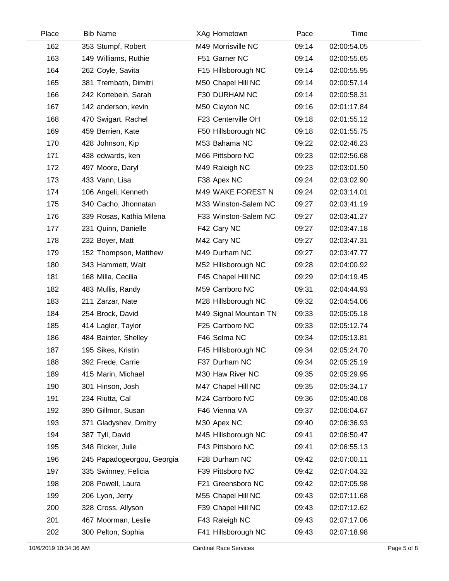| Place | <b>Bib Name</b>            | XAg Hometown           | Pace  | Time        |  |
|-------|----------------------------|------------------------|-------|-------------|--|
| 162   | 353 Stumpf, Robert         | M49 Morrisville NC     | 09:14 | 02:00:54.05 |  |
| 163   | 149 Williams, Ruthie       | F51 Garner NC          | 09:14 | 02:00:55.65 |  |
| 164   | 262 Coyle, Savita          | F15 Hillsborough NC    | 09:14 | 02:00:55.95 |  |
| 165   | 381 Trembath, Dimitri      | M50 Chapel Hill NC     | 09:14 | 02:00:57.14 |  |
| 166   | 242 Kortebein, Sarah       | F30 DURHAM NC          | 09:14 | 02:00:58.31 |  |
| 167   | 142 anderson, kevin        | M50 Clayton NC         | 09:16 | 02:01:17.84 |  |
| 168   | 470 Swigart, Rachel        | F23 Centerville OH     | 09:18 | 02:01:55.12 |  |
| 169   | 459 Berrien, Kate          | F50 Hillsborough NC    | 09:18 | 02:01:55.75 |  |
| 170   | 428 Johnson, Kip           | M53 Bahama NC          | 09:22 | 02:02:46.23 |  |
| 171   | 438 edwards, ken           | M66 Pittsboro NC       | 09:23 | 02:02:56.68 |  |
| 172   | 497 Moore, Daryl           | M49 Raleigh NC         | 09:23 | 02:03:01.50 |  |
| 173   | 433 Vann, Lisa             | F38 Apex NC            | 09:24 | 02:03:02.90 |  |
| 174   | 106 Angeli, Kenneth        | M49 WAKE FOREST N      | 09:24 | 02:03:14.01 |  |
| 175   | 340 Cacho, Jhonnatan       | M33 Winston-Salem NC   | 09:27 | 02:03:41.19 |  |
| 176   | 339 Rosas, Kathia Milena   | F33 Winston-Salem NC   | 09:27 | 02:03:41.27 |  |
| 177   | 231 Quinn, Danielle        | F42 Cary NC            | 09:27 | 02:03:47.18 |  |
| 178   | 232 Boyer, Matt            | M42 Cary NC            | 09:27 | 02:03:47.31 |  |
| 179   | 152 Thompson, Matthew      | M49 Durham NC          | 09:27 | 02:03:47.77 |  |
| 180   | 343 Hammett, Walt          | M52 Hillsborough NC    | 09:28 | 02:04:00.92 |  |
| 181   | 168 Milla, Cecilia         | F45 Chapel Hill NC     | 09:29 | 02:04:19.45 |  |
| 182   | 483 Mullis, Randy          | M59 Carrboro NC        | 09:31 | 02:04:44.93 |  |
| 183   | 211 Zarzar, Nate           | M28 Hillsborough NC    | 09:32 | 02:04:54.06 |  |
| 184   | 254 Brock, David           | M49 Signal Mountain TN | 09:33 | 02:05:05.18 |  |
| 185   | 414 Lagler, Taylor         | F25 Carrboro NC        | 09:33 | 02:05:12.74 |  |
| 186   | 484 Bainter, Shelley       | F46 Selma NC           | 09:34 | 02:05:13.81 |  |
| 187   | 195 Sikes, Kristin         | F45 Hillsborough NC    | 09:34 | 02:05:24.70 |  |
| 188   | 392 Frede, Carrie          | F37 Durham NC          | 09:34 | 02:05:25.19 |  |
| 189   | 415 Marin, Michael         | M30 Haw River NC       | 09:35 | 02:05:29.95 |  |
| 190   | 301 Hinson, Josh           | M47 Chapel Hill NC     | 09:35 | 02:05:34.17 |  |
| 191   | 234 Riutta, Cal            | M24 Carrboro NC        | 09:36 | 02:05:40.08 |  |
| 192   | 390 Gillmor, Susan         | F46 Vienna VA          | 09:37 | 02:06:04.67 |  |
| 193   | 371 Gladyshev, Dmitry      | M30 Apex NC            | 09:40 | 02:06:36.93 |  |
| 194   | 387 Tyll, David            | M45 Hillsborough NC    | 09:41 | 02:06:50.47 |  |
| 195   | 348 Ricker, Julie          | F43 Pittsboro NC       | 09:41 | 02:06:55.13 |  |
| 196   | 245 Papadogeorgou, Georgia | F28 Durham NC          | 09:42 | 02:07:00.11 |  |
| 197   | 335 Swinney, Felicia       | F39 Pittsboro NC       | 09:42 | 02:07:04.32 |  |
| 198   | 208 Powell, Laura          | F21 Greensboro NC      | 09:42 | 02:07:05.98 |  |
| 199   | 206 Lyon, Jerry            | M55 Chapel Hill NC     | 09:43 | 02:07:11.68 |  |
| 200   | 328 Cross, Allyson         | F39 Chapel Hill NC     | 09:43 | 02:07:12.62 |  |
| 201   | 467 Moorman, Leslie        | F43 Raleigh NC         | 09:43 | 02:07:17.06 |  |
| 202   | 300 Pelton, Sophia         | F41 Hillsborough NC    | 09:43 | 02:07:18.98 |  |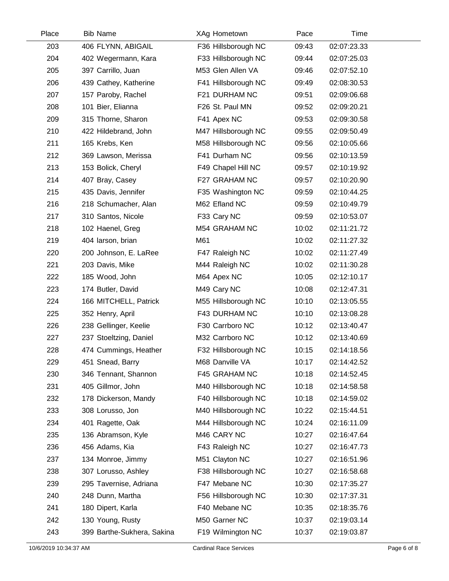| Place | <b>Bib Name</b>            | <b>XAg Hometown</b> | Pace  | Time        |  |
|-------|----------------------------|---------------------|-------|-------------|--|
| 203   | 406 FLYNN, ABIGAIL         | F36 Hillsborough NC | 09:43 | 02:07:23.33 |  |
| 204   | 402 Wegermann, Kara        | F33 Hillsborough NC | 09:44 | 02:07:25.03 |  |
| 205   | 397 Carrillo, Juan         | M53 Glen Allen VA   | 09:46 | 02:07:52.10 |  |
| 206   | 439 Cathey, Katherine      | F41 Hillsborough NC | 09:49 | 02:08:30.53 |  |
| 207   | 157 Paroby, Rachel         | F21 DURHAM NC       | 09:51 | 02:09:06.68 |  |
| 208   | 101 Bier, Elianna          | F26 St. Paul MN     | 09:52 | 02:09:20.21 |  |
| 209   | 315 Thorne, Sharon         | F41 Apex NC         | 09:53 | 02:09:30.58 |  |
| 210   | 422 Hildebrand, John       | M47 Hillsborough NC | 09:55 | 02:09:50.49 |  |
| 211   | 165 Krebs, Ken             | M58 Hillsborough NC | 09:56 | 02:10:05.66 |  |
| 212   | 369 Lawson, Merissa        | F41 Durham NC       | 09:56 | 02:10:13.59 |  |
| 213   | 153 Bolick, Cheryl         | F49 Chapel Hill NC  | 09:57 | 02:10:19.92 |  |
| 214   | 407 Bray, Casey            | F27 GRAHAM NC       | 09:57 | 02:10:20.90 |  |
| 215   | 435 Davis, Jennifer        | F35 Washington NC   | 09:59 | 02:10:44.25 |  |
| 216   | 218 Schumacher, Alan       | M62 Efland NC       | 09:59 | 02:10:49.79 |  |
| 217   | 310 Santos, Nicole         | F33 Cary NC         | 09:59 | 02:10:53.07 |  |
| 218   | 102 Haenel, Greg           | M54 GRAHAM NC       | 10:02 | 02:11:21.72 |  |
| 219   | 404 larson, brian          | M61                 | 10:02 | 02:11:27.32 |  |
| 220   | 200 Johnson, E. LaRee      | F47 Raleigh NC      | 10:02 | 02:11:27.49 |  |
| 221   | 203 Davis, Mike            | M44 Raleigh NC      | 10:02 | 02:11:30.28 |  |
| 222   | 185 Wood, John             | M64 Apex NC         | 10:05 | 02:12:10.17 |  |
| 223   | 174 Butler, David          | M49 Cary NC         | 10:08 | 02:12:47.31 |  |
| 224   | 166 MITCHELL, Patrick      | M55 Hillsborough NC | 10:10 | 02:13:05.55 |  |
| 225   | 352 Henry, April           | F43 DURHAM NC       | 10:10 | 02:13:08.28 |  |
| 226   | 238 Gellinger, Keelie      | F30 Carrboro NC     | 10:12 | 02:13:40.47 |  |
| 227   | 237 Stoeltzing, Daniel     | M32 Carrboro NC     | 10:12 | 02:13:40.69 |  |
| 228   | 474 Cummings, Heather      | F32 Hillsborough NC | 10:15 | 02:14:18.56 |  |
| 229   | 451 Snead, Barry           | M68 Danville VA     | 10:17 | 02:14:42.52 |  |
| 230   | 346 Tennant, Shannon       | F45 GRAHAM NC       | 10:18 | 02:14:52.45 |  |
| 231   | 405 Gillmor, John          | M40 Hillsborough NC | 10:18 | 02:14:58.58 |  |
| 232   | 178 Dickerson, Mandy       | F40 Hillsborough NC | 10:18 | 02:14:59.02 |  |
| 233   | 308 Lorusso, Jon           | M40 Hillsborough NC | 10:22 | 02:15:44.51 |  |
| 234   | 401 Ragette, Oak           | M44 Hillsborough NC | 10:24 | 02:16:11.09 |  |
| 235   | 136 Abramson, Kyle         | M46 CARY NC         | 10:27 | 02:16:47.64 |  |
| 236   | 456 Adams, Kia             | F43 Raleigh NC      | 10:27 | 02:16:47.73 |  |
| 237   | 134 Monroe, Jimmy          | M51 Clayton NC      | 10:27 | 02:16:51.96 |  |
| 238   | 307 Lorusso, Ashley        | F38 Hillsborough NC | 10:27 | 02:16:58.68 |  |
| 239   | 295 Tavernise, Adriana     | F47 Mebane NC       | 10:30 | 02:17:35.27 |  |
| 240   | 248 Dunn, Martha           | F56 Hillsborough NC | 10:30 | 02:17:37.31 |  |
| 241   | 180 Dipert, Karla          | F40 Mebane NC       | 10:35 | 02:18:35.76 |  |
| 242   | 130 Young, Rusty           | M50 Garner NC       | 10:37 | 02:19:03.14 |  |
| 243   | 399 Barthe-Sukhera, Sakina | F19 Wilmington NC   | 10:37 | 02:19:03.87 |  |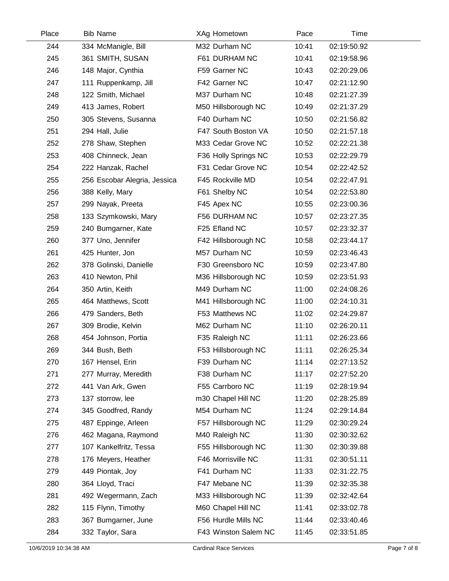| Place | <b>Bib Name</b>              | XAg Hometown         | Pace  | Time        |
|-------|------------------------------|----------------------|-------|-------------|
| 244   | 334 McManigle, Bill          | M32 Durham NC        | 10:41 | 02:19:50.92 |
| 245   | 361 SMITH, SUSAN             | F61 DURHAM NC        | 10:41 | 02:19:58.96 |
| 246   | 148 Major, Cynthia           | F59 Garner NC        | 10:43 | 02:20:29.06 |
| 247   | 111 Ruppenkamp, Jill         | F42 Garner NC        | 10:47 | 02:21:12.90 |
| 248   | 122 Smith, Michael           | M37 Durham NC        | 10:48 | 02:21:27.39 |
| 249   | 413 James, Robert            | M50 Hillsborough NC  | 10:49 | 02:21:37.29 |
| 250   | 305 Stevens, Susanna         | F40 Durham NC        | 10:50 | 02:21:56.82 |
| 251   | 294 Hall, Julie              | F47 South Boston VA  | 10:50 | 02:21:57.18 |
| 252   | 278 Shaw, Stephen            | M33 Cedar Grove NC   | 10:52 | 02:22:21.38 |
| 253   | 408 Chinneck, Jean           | F36 Holly Springs NC | 10:53 | 02:22:29.79 |
| 254   | 222 Hanzak, Rachel           | F31 Cedar Grove NC   | 10:54 | 02:22:42.52 |
| 255   | 256 Escobar Alegria, Jessica | F45 Rockville MD     | 10:54 | 02:22:47.91 |
| 256   | 388 Kelly, Mary              | F61 Shelby NC        | 10:54 | 02:22:53.80 |
| 257   | 299 Nayak, Preeta            | F45 Apex NC          | 10:55 | 02:23:00.36 |
| 258   | 133 Szymkowski, Mary         | F56 DURHAM NC        | 10:57 | 02:23:27.35 |
| 259   | 240 Bumgarner, Kate          | F25 Efland NC        | 10:57 | 02:23:32.37 |
| 260   | 377 Uno, Jennifer            | F42 Hillsborough NC  | 10:58 | 02:23:44.17 |
| 261   | 425 Hunter, Jon              | M57 Durham NC        | 10:59 | 02:23:46.43 |
| 262   | 378 Golinski, Danielle       | F30 Greensboro NC    | 10:59 | 02:23:47.80 |
| 263   | 410 Newton, Phil             | M36 Hillsborough NC  | 10:59 | 02:23:51.93 |
| 264   | 350 Artin, Keith             | M49 Durham NC        | 11:00 | 02:24:08.26 |
| 265   | 464 Matthews, Scott          | M41 Hillsborough NC  | 11:00 | 02:24:10.31 |
| 266   | 479 Sanders, Beth            | F53 Matthews NC      | 11:02 | 02:24:29.87 |
| 267   | 309 Brodie, Kelvin           | M62 Durham NC        | 11:10 | 02:26:20.11 |
| 268   | 454 Johnson, Portia          | F35 Raleigh NC       | 11:11 | 02:26:23.66 |
| 269   | 344 Bush, Beth               | F53 Hillsborough NC  | 11:11 | 02:26:25.34 |
| 270   | 167 Hensel, Erin             | F39 Durham NC        | 11:14 | 02:27:13.52 |
| 271   | 277 Murray, Meredith         | F38 Durham NC        | 11:17 | 02:27:52.20 |
| 272   | 441 Van Ark, Gwen            | F55 Carrboro NC      | 11:19 | 02:28:19.94 |
| 273   | 137 storrow, lee             | m30 Chapel Hill NC   | 11:20 | 02:28:25.89 |
| 274   | 345 Goodfred, Randy          | M54 Durham NC        | 11:24 | 02:29:14.84 |
| 275   | 487 Eppinge, Arleen          | F57 Hillsborough NC  | 11:29 | 02:30:29.24 |
| 276   | 462 Magana, Raymond          | M40 Raleigh NC       | 11:30 | 02:30:32.62 |
| 277   | 107 Kankelfritz, Tessa       | F55 Hillsborough NC  | 11:30 | 02:30:39.88 |
| 278   | 176 Meyers, Heather          | F46 Morrisville NC   | 11:31 | 02:30:51.11 |
| 279   | 449 Piontak, Joy             | F41 Durham NC        | 11:33 | 02:31:22.75 |
| 280   | 364 Lloyd, Traci             | F47 Mebane NC        | 11:39 | 02:32:35.38 |
| 281   | 492 Wegermann, Zach          | M33 Hillsborough NC  | 11:39 | 02:32:42.64 |
| 282   | 115 Flynn, Timothy           | M60 Chapel Hill NC   | 11:41 | 02:33:02.78 |
| 283   | 367 Bumgarner, June          | F56 Hurdle Mills NC  | 11:44 | 02:33:40.46 |
| 284   | 332 Taylor, Sara             | F43 Winston Salem NC | 11:45 | 02:33:51.85 |